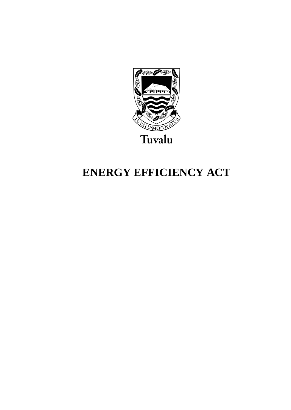

# **ENERGY EFFICIENCY ACT**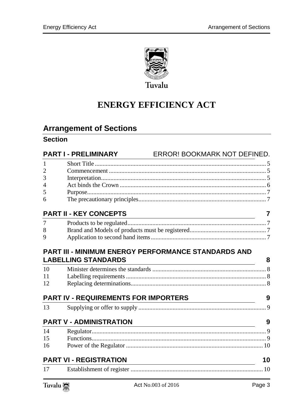

# **ENERGY EFFICIENCY ACT**

### **Arrangement of Sections**

### **Section**

|                | <b>PART I - PRELIMINARY</b>                 | ERROR! BOOKMARK NOT DEFINED.                                                                                         |    |
|----------------|---------------------------------------------|----------------------------------------------------------------------------------------------------------------------|----|
| 1              |                                             |                                                                                                                      |    |
| $\overline{2}$ |                                             |                                                                                                                      |    |
| 3              |                                             |                                                                                                                      |    |
| 4              |                                             |                                                                                                                      |    |
| 5              |                                             |                                                                                                                      |    |
| 6              |                                             |                                                                                                                      |    |
|                | <b>PART II - KEY CONCEPTS</b>               | <u> 1989 - Johann Barn, mars ann an t-Amhain Aonaich an t-Aonaich an t-Aonaich ann an t-Aonaich ann an t-Aonaich</u> | 7  |
| 7              |                                             |                                                                                                                      |    |
| 8              |                                             |                                                                                                                      |    |
| 9              |                                             |                                                                                                                      |    |
| 10<br>11<br>12 | <b>LABELLING STANDARDS</b>                  | PART III - MINIMUM ENERGY PERFORMANCE STANDARDS AND                                                                  | 8  |
|                | <b>PART IV - REQUIREMENTS FOR IMPORTERS</b> |                                                                                                                      | 9  |
| 13             |                                             |                                                                                                                      |    |
|                | <b>PART V - ADMINISTRATION</b>              |                                                                                                                      | 9  |
| 14             |                                             |                                                                                                                      |    |
| 15             |                                             |                                                                                                                      |    |
| 16             |                                             |                                                                                                                      |    |
|                | <b>PART VI - REGISTRATION</b>               |                                                                                                                      | 10 |
| 17             |                                             |                                                                                                                      |    |

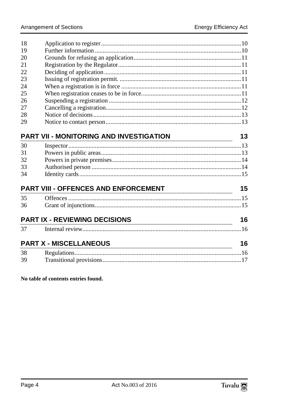| 19<br>20<br>21<br>22<br>23<br>24<br>25<br>26<br>27<br>28<br>29<br>PART VII - MONITORING AND INVESTIGATION<br>30<br>31<br>32<br>33<br>34<br>PART VIII - OFFENCES AND ENFORCEMENT<br>35<br>36<br><b>PART IX - REVIEWING DECISIONS</b><br>16<br><u> 1980 - Johann Barn, mars ar breithinn ar chuid ann an t-Alban ann an t-Alban ann an t-Alban ann an t-Alban a</u><br>37<br><b>PART X - MISCELLANEOUS</b><br><u> 1980 - Johann Barnett, fransk politik (f. 1980)</u><br>38<br>39 | 18 |  |    |
|---------------------------------------------------------------------------------------------------------------------------------------------------------------------------------------------------------------------------------------------------------------------------------------------------------------------------------------------------------------------------------------------------------------------------------------------------------------------------------|----|--|----|
|                                                                                                                                                                                                                                                                                                                                                                                                                                                                                 |    |  |    |
|                                                                                                                                                                                                                                                                                                                                                                                                                                                                                 |    |  |    |
|                                                                                                                                                                                                                                                                                                                                                                                                                                                                                 |    |  |    |
|                                                                                                                                                                                                                                                                                                                                                                                                                                                                                 |    |  |    |
|                                                                                                                                                                                                                                                                                                                                                                                                                                                                                 |    |  |    |
|                                                                                                                                                                                                                                                                                                                                                                                                                                                                                 |    |  |    |
|                                                                                                                                                                                                                                                                                                                                                                                                                                                                                 |    |  |    |
|                                                                                                                                                                                                                                                                                                                                                                                                                                                                                 |    |  |    |
|                                                                                                                                                                                                                                                                                                                                                                                                                                                                                 |    |  |    |
|                                                                                                                                                                                                                                                                                                                                                                                                                                                                                 |    |  |    |
|                                                                                                                                                                                                                                                                                                                                                                                                                                                                                 |    |  |    |
|                                                                                                                                                                                                                                                                                                                                                                                                                                                                                 |    |  | 13 |
|                                                                                                                                                                                                                                                                                                                                                                                                                                                                                 |    |  |    |
|                                                                                                                                                                                                                                                                                                                                                                                                                                                                                 |    |  |    |
|                                                                                                                                                                                                                                                                                                                                                                                                                                                                                 |    |  |    |
|                                                                                                                                                                                                                                                                                                                                                                                                                                                                                 |    |  |    |
|                                                                                                                                                                                                                                                                                                                                                                                                                                                                                 |    |  |    |
|                                                                                                                                                                                                                                                                                                                                                                                                                                                                                 |    |  | 15 |
|                                                                                                                                                                                                                                                                                                                                                                                                                                                                                 |    |  |    |
|                                                                                                                                                                                                                                                                                                                                                                                                                                                                                 |    |  |    |
|                                                                                                                                                                                                                                                                                                                                                                                                                                                                                 |    |  |    |
|                                                                                                                                                                                                                                                                                                                                                                                                                                                                                 |    |  |    |
|                                                                                                                                                                                                                                                                                                                                                                                                                                                                                 |    |  |    |
|                                                                                                                                                                                                                                                                                                                                                                                                                                                                                 |    |  | 16 |
|                                                                                                                                                                                                                                                                                                                                                                                                                                                                                 |    |  |    |
|                                                                                                                                                                                                                                                                                                                                                                                                                                                                                 |    |  |    |

#### No table of contents entries found.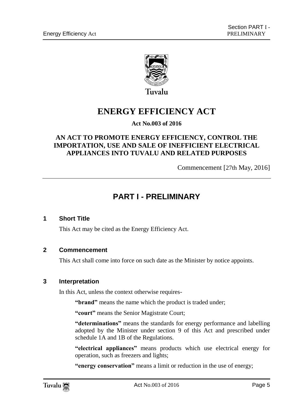

# **ENERGY EFFICIENCY ACT**

#### **Act No.003 of 2016**

#### **AN ACT TO PROMOTE ENERGY EFFICIENCY, CONTROL THE IMPORTATION, USE AND SALE OF INEFFICIENT ELECTRICAL APPLIANCES INTO TUVALU AND RELATED PURPOSES**

Commencement [27th May, 2016]

### **PART I - PRELIMINARY**

#### <span id="page-4-0"></span>**1 Short Title**

This Act may be cited as the Energy Efficiency Act.

#### <span id="page-4-1"></span>**2 Commencement**

This Act shall come into force on such date as the Minister by notice appoints.

#### <span id="page-4-2"></span>**3 Interpretation**

In this Act, unless the context otherwise requires-

**"brand"** means the name which the product is traded under;

**"court"** means the Senior Magistrate Court;

**"determinations"** means the standards for energy performance and labelling adopted by the Minister under section 9 of this Act and prescribed under schedule 1A and 1B of the Regulations.

**"electrical appliances"** means products which use electrical energy for operation, such as freezers and lights;

**"energy conservation"** means a limit or reduction in the use of energy;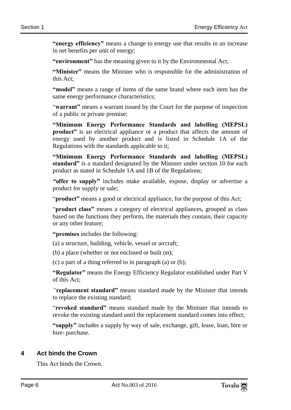**"energy efficiency"** means a change to energy use that results in an increase in net benefits per unit of energy;

**"environment"** has the meaning given to it by the Environmental Act;

**"Minister"** means the Minister who is responsible for the administration of this Act;

**"model"** means a range of items of the same brand where each item has the same energy performance characteristics;

"warrant" means a warrant issued by the Court for the purpose of inspection of a public or private premise;

**"Minimum Energy Performance Standards and labelling (MEPSL) product**" is an electrical appliance or a product that affects the amount of energy used by another product and is listed in Schedule 1A of the Regulations with the standards applicable to it;

**"Minimum Energy Performance Standards and labelling (MEPSL) standard"** is a standard designated by the Minister under section 10 for each product as stated in Schedule 1A and 1B of the Regulations;

*"***offer to supply"** includes make available, expose, display or advertise a product for supply or sale;

"**product"** means a good or electrical appliance, for the purpose of this Act;

"**product class"** means a category of electrical appliances, grouped as class based on the functions they perform, the materials they contain, their capacity or any other feature;

**"premises** includes the following:

(a) a structure, building, vehicle, vessel or aircraft;

(b) a place (whether or not enclosed or built on);

(c) a part of a thing referred to in paragraph (a) or (b);

**"Regulator"** means the Energy Efficiency Regulator established under Part V of this Act;

*"***replacement standard"** means standard made by the Minister that intends to replace the existing standard;

"**revoked standard"** means standard made by the Minister that intends to revoke the existing standard until the replacement standard comes into effect;

**"supply"** includes a supply by way of sale, exchange, gift, lease, loan, hire or hire- purchase.

#### <span id="page-5-0"></span>**4 Act binds the Crown**

This Act binds the Crown.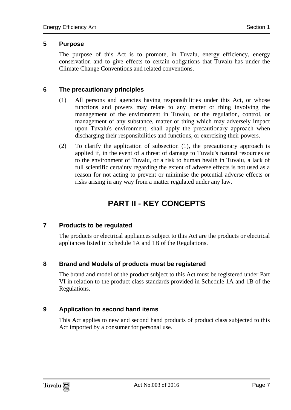#### <span id="page-6-0"></span>**5 Purpose**

The purpose of this Act is to promote, in Tuvalu, energy efficiency, energy conservation and to give effects to certain obligations that Tuvalu has under the Climate Change Conventions and related conventions.

#### <span id="page-6-1"></span>**6 The precautionary principles**

- (1) All persons and agencies having responsibilities under this Act, or whose functions and powers may relate to any matter or thing involving the management of the environment in Tuvalu, or the regulation, control, or management of any substance, matter or thing which may adversely impact upon Tuvalu's environment, shall apply the precautionary approach when discharging their responsibilities and functions, or exercising their powers.
- (2) To clarify the application of subsection (1), the precautionary approach is applied if, in the event of a threat of damage to Tuvalu's natural resources or to the environment of Tuvalu, or a risk to human health in Tuvalu, a lack of full scientific certainty regarding the extent of adverse effects is not used as a reason for not acting to prevent or minimise the potential adverse effects or risks arising in any way from a matter regulated under any law.

# **PART II - KEY CONCEPTS**

#### <span id="page-6-3"></span><span id="page-6-2"></span>**7 Products to be regulated**

The products or electrical appliances subject to this Act are the products or electrical appliances listed in Schedule 1A and 1B of the Regulations.

#### <span id="page-6-4"></span>**8 Brand and Models of products must be registered**

The brand and model of the product subject to this Act must be registered under Part VI in relation to the product class standards provided in Schedule 1A and 1B of the Regulations.

#### <span id="page-6-5"></span>**9 Application to second hand items**

This Act applies to new and second hand products of product class subjected to this Act imported by a consumer for personal use.

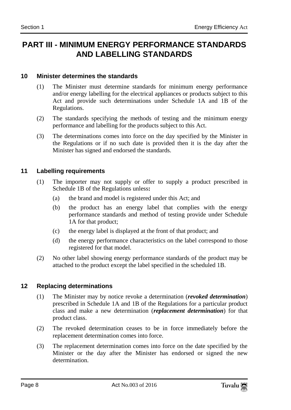### <span id="page-7-0"></span>**PART III - MINIMUM ENERGY PERFORMANCE STANDARDS AND LABELLING STANDARDS**

#### <span id="page-7-1"></span>**10 Minister determines the standards**

- (1) The Minister must determine standards for minimum energy performance and/or energy labelling for the electrical appliances or products subject to this Act and provide such determinations under Schedule 1A and 1B of the Regulations.
- (2) The standards specifying the methods of testing and the minimum energy performance and labelling for the products subject to this Act.
- (3) The determinations comes into force on the day specified by the Minister in the Regulations or if no such date is provided then it is the day after the Minister has signed and endorsed the standards.

#### <span id="page-7-2"></span>**11 Labelling requirements**

- (1) The importer may not supply or offer to supply a product prescribed in Schedule 1B of the Regulations unless**:** 
	- (a) the brand and model is registered under this Act; and
	- (b) the product has an energy label that complies with the energy performance standards and method of testing provide under Schedule 1A for that product;
	- (c) the energy label is displayed at the front of that product; and
	- (d) the energy performance characteristics on the label correspond to those registered for that model.
- (2) No other label showing energy performance standards of the product may be attached to the product except the label specified in the scheduled 1B.

#### <span id="page-7-3"></span>**12 Replacing determinations**

- (1) The Minister may by notice revoke a determination (*revoked determination*) prescribed in Schedule 1A and 1B of the Regulations for a particular product class and make a new determination (*replacement determination*) for that product class.
- (2) The revoked determination ceases to be in force immediately before the replacement determination comes into force.
- (3) The replacement determination comes into force on the date specified by the Minister or the day after the Minister has endorsed or signed the new determination.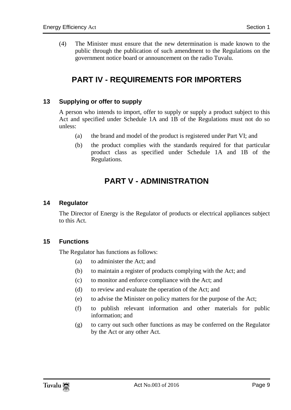<span id="page-8-0"></span>(4) The Minister must ensure that the new determination is made known to the public through the publication of such amendment to the Regulations on the government notice board or announcement on the radio Tuvalu.

### **PART IV - REQUIREMENTS FOR IMPORTERS**

#### <span id="page-8-1"></span>**13 Supplying or offer to supply**

A person who intends to import, offer to supply or supply a product subject to this Act and specified under Schedule 1A and 1B of the Regulations must not do so unless:

- (a) the brand and model of the product is registered under Part VI; and
- (b) the product complies with the standards required for that particular product class as specified under Schedule 1A and 1B of the Regulations.

### **PART V - ADMINISTRATION**

#### <span id="page-8-3"></span><span id="page-8-2"></span>**14 Regulator**

The Director of Energy is the Regulator of products or electrical appliances subject to this Act.

#### <span id="page-8-4"></span>**15 Functions**

The Regulator has functions as follows:

- (a) to administer the Act; and
- (b) to maintain a register of products complying with the Act; and
- (c) to monitor and enforce compliance with the Act; and
- (d) to review and evaluate the operation of the Act; and
- (e) to advise the Minister on policy matters for the purpose of the Act;
- (f) to publish relevant information and other materials for public information; and
- (g) to carry out such other functions as may be conferred on the Regulator by the Act or any other Act.

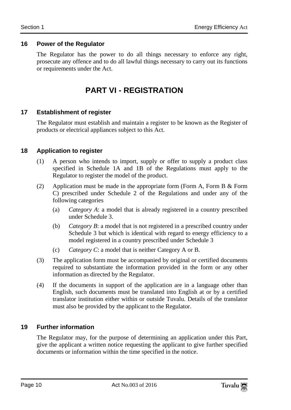#### <span id="page-9-0"></span>**16 Power of the Regulator**

<span id="page-9-1"></span>The Regulator has the power to do all things necessary to enforce any right, prosecute any offence and to do all lawful things necessary to carry out its functions or requirements under the Act.

### **PART VI - REGISTRATION**

#### <span id="page-9-2"></span>**17 Establishment of register**

The Regulator must establish and maintain a register to be known as the Register of products or electrical appliances subject to this Act.

#### <span id="page-9-3"></span>**18 Application to register**

- (1) A person who intends to import, supply or offer to supply a product class specified in Schedule 1A and 1B of the Regulations must apply to the Regulator to register the model of the product.
- (2) Application must be made in the appropriate form (Form A, Form B  $\&$  Form C) prescribed under Schedule 2 of the Regulations and under any of the following categories
	- (a) *Category A*: a model that is already registered in a country prescribed under Schedule 3.
	- (b) *Category B*: a model that is not registered in a prescribed country under Schedule 3 but which is identical with regard to energy efficiency to a model registered in a country prescribed under Schedule 3
	- (c) *Category C*: a model that is neither Category A or B.
- (3) The application form must be accompanied by original or certified documents required to substantiate the information provided in the form or any other information as directed by the Regulator.
- (4) If the documents in support of the application are in a language other than English, such documents must be translated into English at or by a certified translator institution either within or outside Tuvalu. Details of the translator must also be provided by the applicant to the Regulator.

#### <span id="page-9-4"></span>**19 Further information**

The Regulator may, for the purpose of determining an application under this Part, give the applicant a written notice requesting the applicant to give further specified documents or information within the time specified in the notice.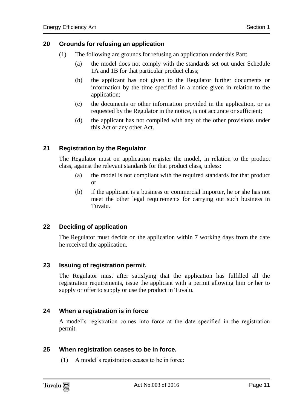#### <span id="page-10-0"></span>**20 Grounds for refusing an application**

- (1) The following are grounds for refusing an application under this Part:
	- (a) the model does not comply with the standards set out under Schedule 1A and 1B for that particular product class;
	- (b) the applicant has not given to the Regulator further documents or information by the time specified in a notice given in relation to the application;
	- (c) the documents or other information provided in the application, or as requested by the Regulator in the notice, is not accurate or sufficient;
	- (d) the applicant has not complied with any of the other provisions under this Act or any other Act.

#### <span id="page-10-1"></span>**21 Registration by the Regulator**

The Regulator must on application register the model, in relation to the product class, against the relevant standards for that product class, unless:

- (a) the model is not compliant with the required standards for that product or
- (b) if the applicant is a business or commercial importer, he or she has not meet the other legal requirements for carrying out such business in Tuvalu.

#### <span id="page-10-2"></span>**22 Deciding of application**

The Regulator must decide on the application within 7 working days from the date he received the application.

#### <span id="page-10-3"></span>**23 Issuing of registration permit.**

The Regulator must after satisfying that the application has fulfilled all the registration requirements, issue the applicant with a permit allowing him or her to supply or offer to supply or use the product in Tuvalu.

#### <span id="page-10-4"></span>**24 When a registration is in force**

A model's registration comes into force at the date specified in the registration permit.

#### <span id="page-10-5"></span>**25 When registration ceases to be in force.**

(1) A model's registration ceases to be in force:

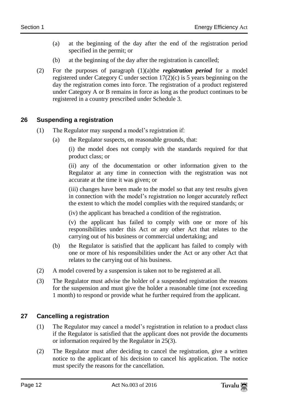- (a) at the beginning of the day after the end of the registration period specified in the permit; or
- (b) at the beginning of the day after the registration is cancelled;
- (2) For the purposes of paragraph (1)(a)the *registration period* for a model registered under Category C under section 17(2)(c) is 5 years beginning on the day the registration comes into force. The registration of a product registered under Category A or B remains in force as long as the product continues to be registered in a country prescribed under Schedule 3.

#### <span id="page-11-0"></span>**26 Suspending a registration**

- (1) The Regulator may suspend a model's registration if:
	- (a) the Regulator suspects, on reasonable grounds, that:

(i) the model does not comply with the standards required for that product class; or

(ii) any of the documentation or other information given to the Regulator at any time in connection with the registration was not accurate at the time it was given; or

(iii) changes have been made to the model so that any test results given in connection with the model's registration no longer accurately reflect the extent to which the model complies with the required standards; or

(iv) the applicant has breached a condition of the registration.

(v) the applicant has failed to comply with one or more of his responsibilities under this Act or any other Act that relates to the carrying out of his business or commercial undertaking; and

- (b) the Regulator is satisfied that the applicant has failed to comply with one or more of his responsibilities under the Act or any other Act that relates to the carrying out of his business.
- (2) A model covered by a suspension is taken not to be registered at all.
- (3) The Regulator must advise the holder of a suspended registration the reasons for the suspension and must give the holder a reasonable time (not exceeding 1 month) to respond or provide what he further required from the applicant.

#### <span id="page-11-1"></span>**27 Cancelling a registration**

- (1) The Regulator may cancel a model's registration in relation to a product class if the Regulator is satisfied that the applicant does not provide the documents or information required by the Regulator in 25(3).
- (2) The Regulator must after deciding to cancel the registration, give a written notice to the applicant of his decision to cancel his application. The notice must specify the reasons for the cancellation.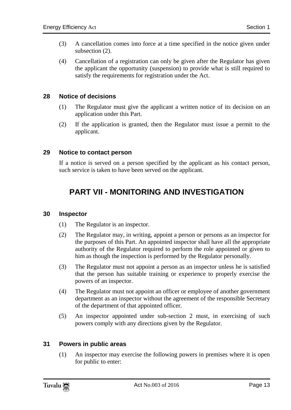- (3) A cancellation comes into force at a time specified in the notice given under subsection (2).
- (4) Cancellation of a registration can only be given after the Regulator has given the applicant the opportunity (suspension) to provide what is still required to satisfy the requirements for registration under the Act.

#### <span id="page-12-0"></span>**28 Notice of decisions**

- (1) The Regulator must give the applicant a written notice of its decision on an application under this Part.
- (2) If the application is granted, then the Regulator must issue a permit to the applicant.

#### <span id="page-12-1"></span>**29 Notice to contact person**

<span id="page-12-2"></span>If a notice is served on a person specified by the applicant as his contact person, such service is taken to have been served on the applicant.

### **PART VII - MONITORING AND INVESTIGATION**

#### <span id="page-12-3"></span>**30 Inspector**

- (1) The Regulator is an inspector.
- (2) The Regulator may, in writing, appoint a person or persons as an inspector for the purposes of this Part. An appointed inspector shall have all the appropriate authority of the Regulator required to perform the role appointed or given to him as though the inspection is performed by the Regulator personally.
- (3) The Regulator must not appoint a person as an inspector unless he is satisfied that the person has suitable training or experience to properly exercise the powers of an inspector.
- (4) The Regulator must not appoint an officer or employee of another government department as an inspector without the agreement of the responsible Secretary of the department of that appointed officer.
- (5) An inspector appointed under sub-section 2 must, in exercising of such powers comply with any directions given by the Regulator.

#### <span id="page-12-4"></span>**31 Powers in public areas**

(1) An inspector may exercise the following powers in premises where it is open for public to enter:

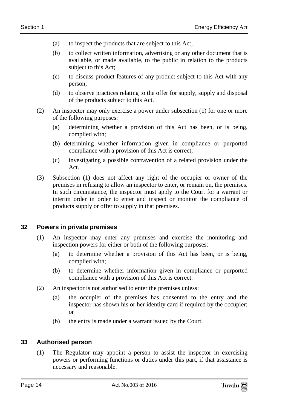- (a) to inspect the products that are subject to this Act;
- (b) to collect written information, advertising or any other document that is available, or made available, to the public in relation to the products subject to this Act;
- (c) to discuss product features of any product subject to this Act with any person;
- (d) to observe practices relating to the offer for supply, supply and disposal of the products subject to this Act.
- (2) An inspector may only exercise a power under subsection (1) for one or more of the following purposes:
	- (a) determining whether a provision of this Act has been, or is being, complied with;
	- (b) determining whether information given in compliance or purported compliance with a provision of this Act is correct;
	- (c) investigating a possible contravention of a related provision under the Act.
- (3) Subsection (1) does not affect any right of the occupier or owner of the premises in refusing to allow an inspector to enter, or remain on, the premises. In such circumstance, the inspector must apply to the Court for a warrant or interim order in order to enter and inspect or monitor the compliance of products supply or offer to supply in that premises.

#### <span id="page-13-0"></span>**32 Powers in private premises**

- (1) An inspector may enter any premises and exercise the monitoring and inspection powers for either or both of the following purposes:
	- (a) to determine whether a provision of this Act has been, or is being, complied with;
	- (b) to determine whether information given in compliance or purported compliance with a provision of this Act is correct.
- (2) An inspector is not authorised to enter the premises unless:
	- (a) the occupier of the premises has consented to the entry and the inspector has shown his or her identity card if required by the occupier; or
	- (b) the entry is made under a warrant issued by the Court.

#### <span id="page-13-1"></span>**33 Authorised person**

(1) The Regulator may appoint a person to assist the inspector in exercising powers or performing functions or duties under this part, if that assistance is necessary and reasonable.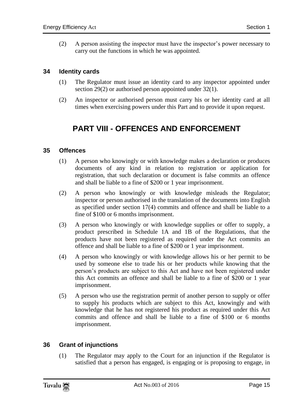(2) A person assisting the inspector must have the inspector's power necessary to carry out the functions in which he was appointed.

#### <span id="page-14-0"></span>**34 Identity cards**

- (1) The Regulator must issue an identity card to any inspector appointed under section 29(2) or authorised person appointed under 32(1).
- <span id="page-14-1"></span>(2) An inspector or authorised person must carry his or her identity card at all times when exercising powers under this Part and to provide it upon request.

### **PART VIII - OFFENCES AND ENFORCEMENT**

#### <span id="page-14-2"></span>**35 Offences**

- (1) A person who knowingly or with knowledge makes a declaration or produces documents of any kind in relation to registration or application for registration, that such declaration or document is false commits an offence and shall be liable to a fine of \$200 or 1 year imprisonment.
- (2) A person who knowingly or with knowledge misleads the Regulator; inspector or person authorised in the translation of the documents into English as specified under section 17(4) commits and offence and shall be liable to a fine of \$100 or 6 months imprisonment.
- (3) A person who knowingly or with knowledge supplies or offer to supply, a product prescribed in Schedule 1A and 1B of the Regulations, that the products have not been registered as required under the Act commits an offence and shall be liable to a fine of \$200 or 1 year imprisonment.
- (4) A person who knowingly or with knowledge allows his or her permit to be used by someone else to trade his or her products while knowing that the person's products are subject to this Act and have not been registered under this Act commits an offence and shall be liable to a fine of \$200 or 1 year imprisonment.
- (5) A person who use the registration permit of another person to supply or offer to supply his products which are subject to this Act, knowingly and with knowledge that he has not registered his product as required under this Act commits and offence and shall be liable to a fine of \$100 or 6 months imprisonment.

#### <span id="page-14-3"></span>**36 Grant of injunctions**

(1) The Regulator may apply to the Court for an injunction if the Regulator is satisfied that a person has engaged, is engaging or is proposing to engage, in

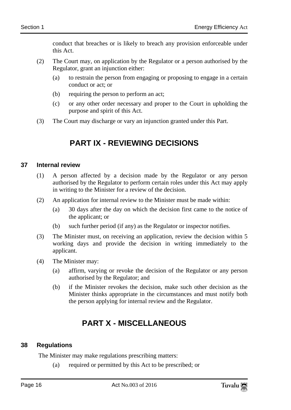conduct that breaches or is likely to breach any provision enforceable under this Act.

- (2) The Court may, on application by the Regulator or a person authorised by the Regulator, grant an injunction either:
	- (a) to restrain the person from engaging or proposing to engage in a certain conduct or act; or
	- (b) requiring the person to perform an act;
	- (c) or any other order necessary and proper to the Court in upholding the purpose and spirit of this Act.
- <span id="page-15-0"></span>(3) The Court may discharge or vary an injunction granted under this Part.

# **PART IX - REVIEWING DECISIONS**

#### <span id="page-15-1"></span>**37 Internal review**

- (1) A person affected by a decision made by the Regulator or any person authorised by the Regulator to perform certain roles under this Act may apply in writing to the Minister for a review of the decision.
- (2) An application for internal review to the Minister must be made within:
	- (a) 30 days after the day on which the decision first came to the notice of the applicant; or
	- (b) such further period (if any) as the Regulator or inspector notifies.
- (3) The Minister must, on receiving an application, review the decision within 5 working days and provide the decision in writing immediately to the applicant.
- (4) The Minister may:
	- (a) affirm, varying or revoke the decision of the Regulator or any person authorised by the Regulator; and
	- (b) if the Minister revokes the decision, make such other decision as the Minister thinks appropriate in the circumstances and must notify both the person applying for internal review and the Regulator.

# **PART X - MISCELLANEOUS**

#### <span id="page-15-3"></span><span id="page-15-2"></span>**38 Regulations**

The Minister may make regulations prescribing matters:

(a) required or permitted by this Act to be prescribed; or